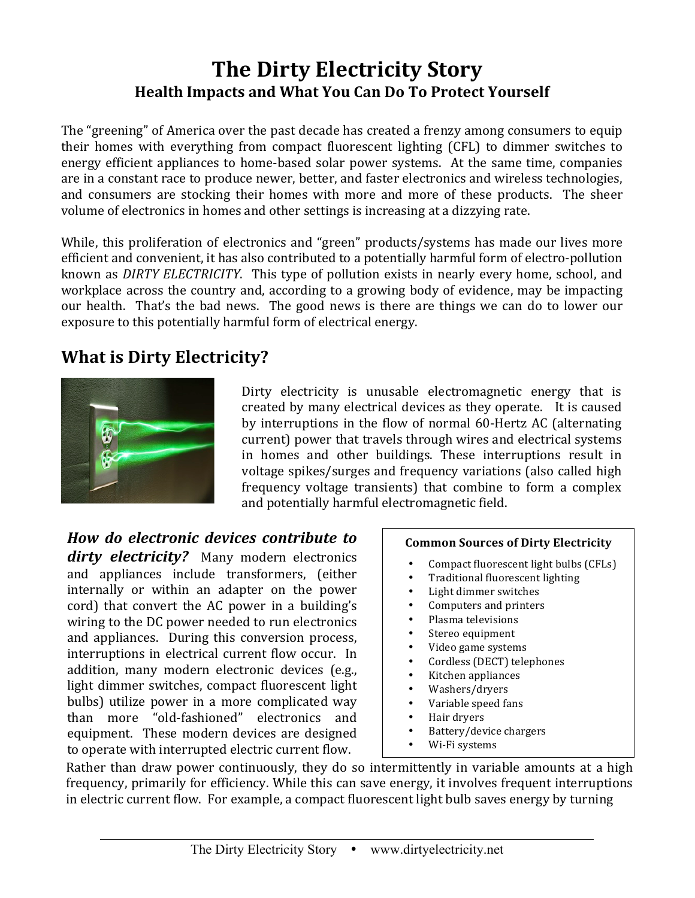# **The Dirty Electricity Story** Health Impacts and What You Can Do To Protect Yourself

The "greening" of America over the past decade has created a frenzy among consumers to equip their homes with everything from compact fluorescent lighting (CFL) to dimmer switches to energy efficient appliances to home-based solar power systems. At the same time, companies are in a constant race to produce newer, better, and faster electronics and wireless technologies, and consumers are stocking their homes with more and more of these products. The sheer volume of electronics in homes and other settings is increasing at a dizzying rate.

While, this proliferation of electronics and "green" products/systems has made our lives more efficient and convenient, it has also contributed to a potentially harmful form of electro-pollution known as *DIRTY ELECTRICITY*. This type of pollution exists in nearly every home, school, and workplace across the country and, according to a growing body of evidence, may be impacting our health. That's the bad news. The good news is there are things we can do to lower our exposure to this potentially harmful form of electrical energy.

# **What is Dirty Electricity?**



Dirty electricity is unusable electromagnetic energy that is created by many electrical devices as they operate. It is caused by interruptions in the flow of normal 60-Hertz AC (alternating current) power that travels through wires and electrical systems in homes and other buildings. These interruptions result in voltage spikes/surges and frequency variations (also called high frequency voltage transients) that combine to form a complex and potentially harmful electromagnetic field.

*How\$ do\$ electronic\$ devices\$ contribute\$ to\$* **dirty electricity?** Many modern electronics and appliances include transformers, (either internally or within an adapter on the power cord) that convert the AC power in a building's wiring to the DC power needed to run electronics and appliances. During this conversion process, interruptions in electrical current flow occur. In addition, many modern electronic devices (e.g., light dimmer switches, compact fluorescent light bulbs) utilize power in a more complicated way than more "old-fashioned" electronics and equipment. These modern devices are designed to operate with interrupted electric current flow.

## **Common Sources of Dirty Electricity**

- Compact fluorescent light bulbs (CFLs)
- Traditional fluorescent lighting
- Light dimmer switches
- Computers and printers
- Plasma televisions
- Stereo equipment
- Video game systems
- Cordless (DECT) telephones
- Kitchen appliances
- Washers/dryers
- Variable speed fans
- Hair dryers
- Battery/device chargers
- Wi-Fi systems

Rather than draw power continuously, they do so intermittently in variable amounts at a high frequency, primarily for efficiency. While this can save energy, it involves frequent interruptions in electric current flow. For example, a compact fluorescent light bulb saves energy by turning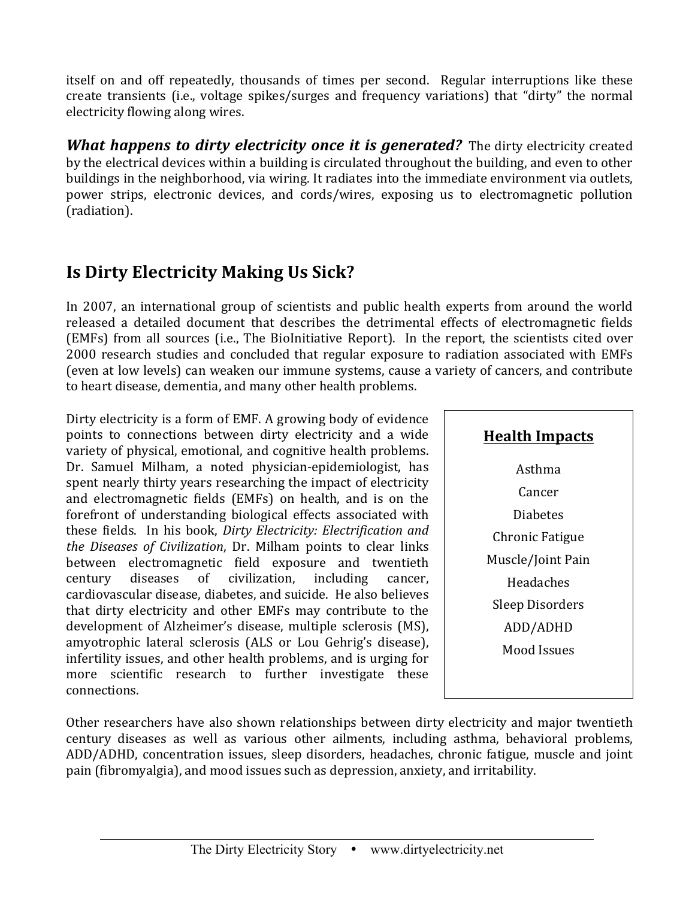itself on and off repeatedly, thousands of times per second. Regular interruptions like these create transients (i.e., voltage spikes/surges and frequency variations) that "dirty" the normal electricity flowing along wires.

*What happens to dirty electricity once it is generated?* The dirty electricity created by the electrical devices within a building is circulated throughout the building, and even to other buildings in the neighborhood, via wiring. It radiates into the immediate environment via outlets, power strips, electronic devices, and cords/wires, exposing us to electromagnetic pollution (radiation).

# **Is Dirty Electricity Making Us Sick?**

In 2007, an international group of scientists and public health experts from around the world released a detailed document that describes the detrimental effects of electromagnetic fields (EMFs) from all sources (i.e., The BioInitiative Report). In the report, the scientists cited over 2000 research studies and concluded that regular exposure to radiation associated with EMFs (even at low levels) can weaken our immune systems, cause a variety of cancers, and contribute to heart disease, dementia, and many other health problems.

Dirty electricity is a form of EMF. A growing body of evidence points to connections between dirty electricity and a wide variety of physical, emotional, and cognitive health problems. Dr. Samuel Milham, a noted physician-epidemiologist, has spent nearly thirty years researching the impact of electricity and electromagnetic fields (EMFs) on health, and is on the forefront of understanding biological effects associated with these fields. In his book, *Dirty Electricity: Electrification and the Diseases of Civilization*, Dr. Milham points to clear links between electromagnetic field exposure and twentieth century diseases of civilization, including cancer, cardiovascular disease, diabetes, and suicide. He also believes that dirty electricity and other EMFs may contribute to the development of Alzheimer's disease, multiple sclerosis (MS), amyotrophic lateral sclerosis (ALS or Lou Gehrig's disease), infertility issues, and other health problems, and is urging for more scientific research to further investigate these connections.

# **Health Impacts**

Asthma **Cancer** Diabetes **Chronic Fatigue** Muscle/Joint Pain Headaches Sleep Disorders ADD/ADHD Mood Issues

Other researchers have also shown relationships between dirty electricity and major twentieth century diseases as well as various other ailments, including asthma, behavioral problems, ADD/ADHD, concentration issues, sleep disorders, headaches, chronic fatigue, muscle and joint pain (fibromyalgia), and mood issues such as depression, anxiety, and irritability.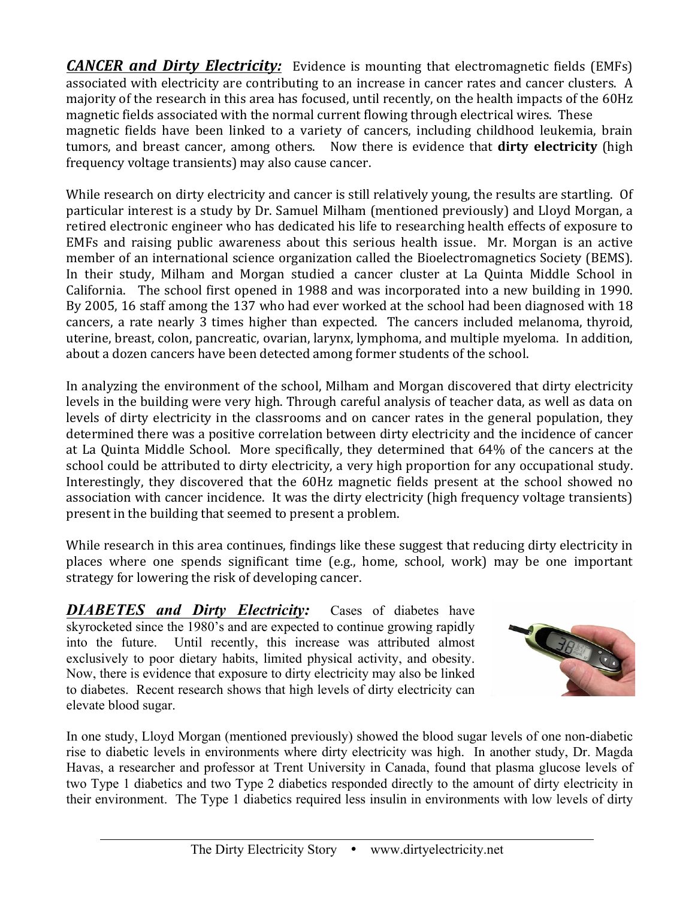*CANCER and Dirty Electricity:* Evidence is mounting that electromagnetic fields (EMFs) associated with electricity are contributing to an increase in cancer rates and cancer clusters. A majority of the research in this area has focused, until recently, on the health impacts of the 60Hz magnetic fields associated with the normal current flowing through electrical wires. These magnetic fields have been linked to a variety of cancers, including childhood leukemia, brain tumors, and breast cancer, among others. Now there is evidence that **dirty electricity** (high frequency voltage transients) may also cause cancer.

While research on dirty electricity and cancer is still relatively young, the results are startling. Of particular interest is a study by Dr. Samuel Milham (mentioned previously) and Lloyd Morgan, a retired electronic engineer who has dedicated his life to researching health effects of exposure to EMFs and raising public awareness about this serious health issue. Mr. Morgan is an active member of an international science organization called the Bioelectromagnetics Society (BEMS). In their study, Milham and Morgan studied a cancer cluster at La Quinta Middle School in California. The school first opened in 1988 and was incorporated into a new building in 1990. By 2005, 16 staff among the 137 who had ever worked at the school had been diagnosed with 18 cancers, a rate nearly 3 times higher than expected. The cancers included melanoma, thyroid, uterine, breast, colon, pancreatic, ovarian, larynx, lymphoma, and multiple myeloma. In addition, about a dozen cancers have been detected among former students of the school.

In analyzing the environment of the school, Milham and Morgan discovered that dirty electricity levels in the building were very high. Through careful analysis of teacher data, as well as data on levels of dirty electricity in the classrooms and on cancer rates in the general population, they determined there was a positive correlation between dirty electricity and the incidence of cancer at La Quinta Middle School. More specifically, they determined that 64% of the cancers at the school could be attributed to dirty electricity, a very high proportion for any occupational study. Interestingly, they discovered that the 60Hz magnetic fields present at the school showed no association with cancer incidence. It was the dirty electricity (high frequency voltage transients) present in the building that seemed to present a problem.

While research in this area continues, findings like these suggest that reducing dirty electricity in places where one spends significant time (e.g., home, school, work) may be one important strategy for lowering the risk of developing cancer.

*DIABETES and Dirty Electricity:* Cases of diabetes have skyrocketed since the 1980's and are expected to continue growing rapidly into the future. Until recently, this increase was attributed almost exclusively to poor dietary habits, limited physical activity, and obesity. Now, there is evidence that exposure to dirty electricity may also be linked to diabetes. Recent research shows that high levels of dirty electricity can elevate blood sugar.



In one study, Lloyd Morgan (mentioned previously) showed the blood sugar levels of one non-diabetic rise to diabetic levels in environments where dirty electricity was high. In another study, Dr. Magda Havas, a researcher and professor at Trent University in Canada, found that plasma glucose levels of two Type 1 diabetics and two Type 2 diabetics responded directly to the amount of dirty electricity in their environment. The Type 1 diabetics required less insulin in environments with low levels of dirty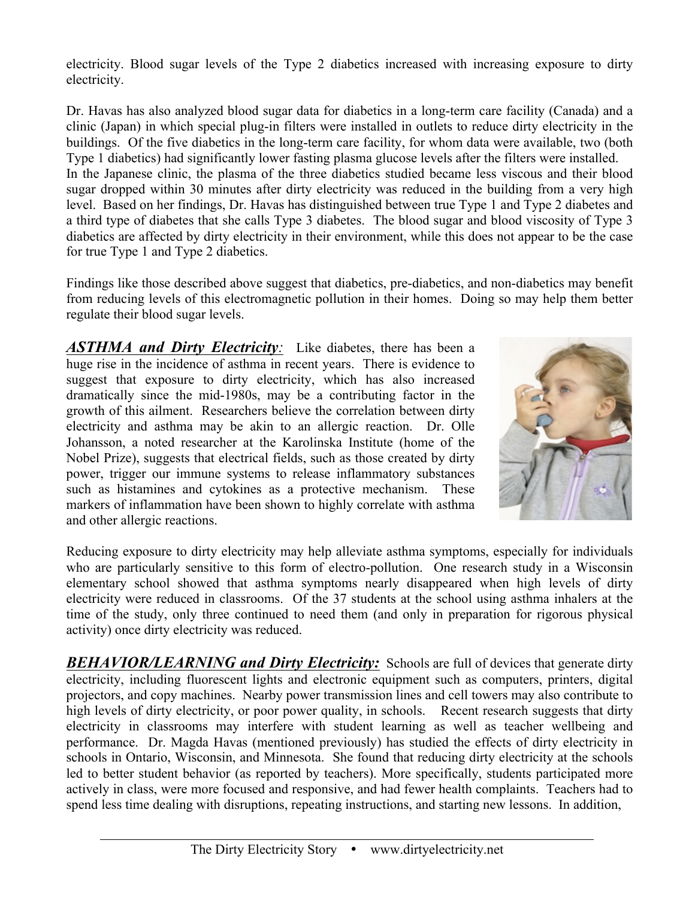electricity. Blood sugar levels of the Type 2 diabetics increased with increasing exposure to dirty electricity.

Dr. Havas has also analyzed blood sugar data for diabetics in a long-term care facility (Canada) and a clinic (Japan) in which special plug-in filters were installed in outlets to reduce dirty electricity in the buildings. Of the five diabetics in the long-term care facility, for whom data were available, two (both Type 1 diabetics) had significantly lower fasting plasma glucose levels after the filters were installed. In the Japanese clinic, the plasma of the three diabetics studied became less viscous and their blood sugar dropped within 30 minutes after dirty electricity was reduced in the building from a very high level. Based on her findings, Dr. Havas has distinguished between true Type 1 and Type 2 diabetes and a third type of diabetes that she calls Type 3 diabetes. The blood sugar and blood viscosity of Type 3 diabetics are affected by dirty electricity in their environment, while this does not appear to be the case for true Type 1 and Type 2 diabetics.

Findings like those described above suggest that diabetics, pre-diabetics, and non-diabetics may benefit from reducing levels of this electromagnetic pollution in their homes. Doing so may help them better regulate their blood sugar levels.

*ASTHMA and Dirty Electricity:* Like diabetes, there has been a huge rise in the incidence of asthma in recent years. There is evidence to suggest that exposure to dirty electricity, which has also increased dramatically since the mid-1980s, may be a contributing factor in the growth of this ailment. Researchers believe the correlation between dirty electricity and asthma may be akin to an allergic reaction. Dr. Olle Johansson, a noted researcher at the Karolinska Institute (home of the Nobel Prize), suggests that electrical fields, such as those created by dirty power, trigger our immune systems to release inflammatory substances such as histamines and cytokines as a protective mechanism. These markers of inflammation have been shown to highly correlate with asthma and other allergic reactions.



Reducing exposure to dirty electricity may help alleviate asthma symptoms, especially for individuals who are particularly sensitive to this form of electro-pollution. One research study in a Wisconsin elementary school showed that asthma symptoms nearly disappeared when high levels of dirty electricity were reduced in classrooms. Of the 37 students at the school using asthma inhalers at the time of the study, only three continued to need them (and only in preparation for rigorous physical activity) once dirty electricity was reduced.

**BEHAVIOR/LEARNING and Dirty Electricity:** Schools are full of devices that generate dirty electricity, including fluorescent lights and electronic equipment such as computers, printers, digital projectors, and copy machines. Nearby power transmission lines and cell towers may also contribute to high levels of dirty electricity, or poor power quality, in schools. Recent research suggests that dirty electricity in classrooms may interfere with student learning as well as teacher wellbeing and performance. Dr. Magda Havas (mentioned previously) has studied the effects of dirty electricity in schools in Ontario, Wisconsin, and Minnesota. She found that reducing dirty electricity at the schools led to better student behavior (as reported by teachers). More specifically, students participated more actively in class, were more focused and responsive, and had fewer health complaints. Teachers had to spend less time dealing with disruptions, repeating instructions, and starting new lessons. In addition,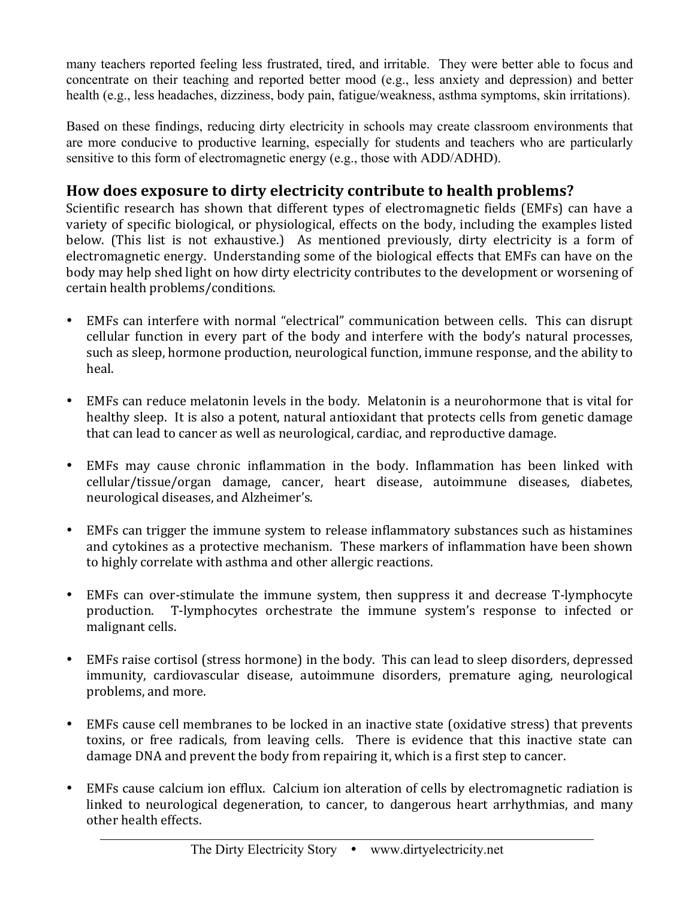many teachers reported feeling less frustrated, tired, and irritable. They were better able to focus and concentrate on their teaching and reported better mood (e.g., less anxiety and depression) and better health (e.g., less headaches, dizziness, body pain, fatigue/weakness, asthma symptoms, skin irritations).

Based on these findings, reducing dirty electricity in schools may create classroom environments that are more conducive to productive learning, especially for students and teachers who are particularly sensitive to this form of electromagnetic energy (e.g., those with ADD/ADHD).

## **How does exposure to dirty electricity contribute to health problems?**

Scientific research has shown that different types of electromagnetic fields (EMFs) can have a variety of specific biological, or physiological, effects on the body, including the examples listed below. (This list is not exhaustive.) As mentioned previously, dirty electricity is a form of electromagnetic energy. Understanding some of the biological effects that EMFs can have on the body may help shed light on how dirty electricity contributes to the development or worsening of certain health problems/conditions.

- EMFs can interfere with normal "electrical" communication between cells. This can disrupt cellular function in every part of the body and interfere with the body's natural processes, such as sleep, hormone production, neurological function, immune response, and the ability to heal.
- EMFs can reduce melatonin levels in the body. Melatonin is a neurohormone that is vital for healthy sleep. It is also a potent, natural antioxidant that protects cells from genetic damage that can lead to cancer as well as neurological, cardiac, and reproductive damage.
- EMFs may cause chronic inflammation in the body. Inflammation has been linked with cellular/tissue/organ damage, cancer, heart disease, autoimmune diseases. diabetes. neurological diseases, and Alzheimer's.
- EMFs can trigger the immune system to release inflammatory substances such as histamines and cytokines as a protective mechanism. These markers of inflammation have been shown to highly correlate with asthma and other allergic reactions.
- EMFs can over-stimulate the immune system, then suppress it and decrease T-lymphocyte production. T-lymphocytes orchestrate the immune system's response to infected or malignant cells.
- EMFs raise cortisol (stress hormone) in the body. This can lead to sleep disorders, depressed immunity, cardiovascular disease, autoimmune disorders, premature aging, neurological problems, and more.
- EMFs cause cell membranes to be locked in an inactive state (oxidative stress) that prevents toxins, or free radicals, from leaving cells. There is evidence that this inactive state can damage DNA and prevent the body from repairing it, which is a first step to cancer.
- EMFs cause calcium ion efflux. Calcium ion alteration of cells by electromagnetic radiation is linked to neurological degeneration, to cancer, to dangerous heart arrhythmias, and many other health effects.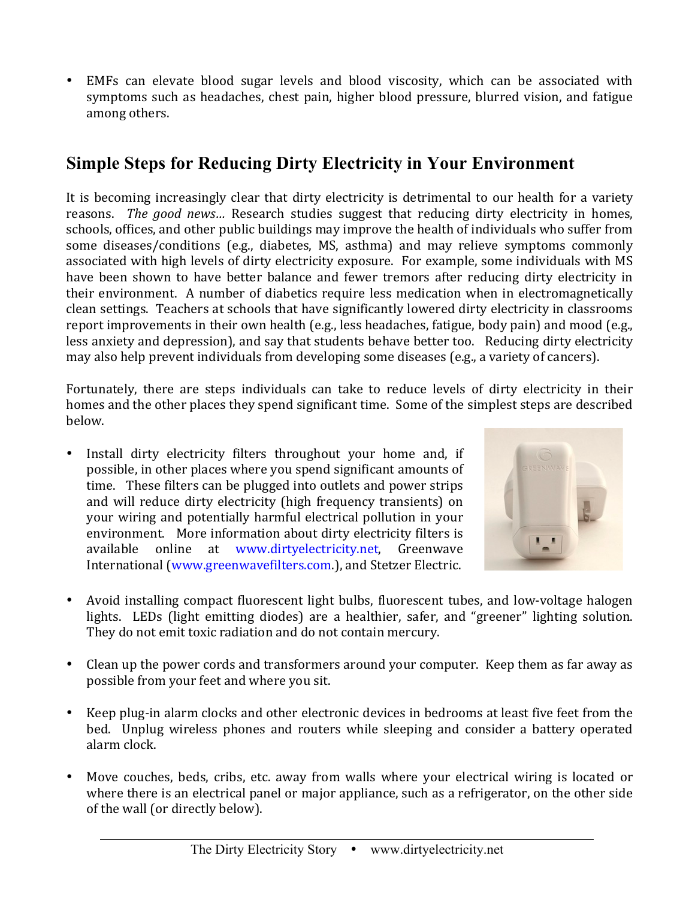• EMFs can elevate blood sugar levels and blood viscosity, which can be associated with symptoms such as headaches, chest pain, higher blood pressure, blurred vision, and fatigue among others.

# **Simple Steps for Reducing Dirty Electricity in Your Environment**

It is becoming increasingly clear that dirty electricity is detrimental to our health for a variety reasons. The good news... Research studies suggest that reducing dirty electricity in homes, schools, offices, and other public buildings may improve the health of individuals who suffer from some diseases/conditions (e.g., diabetes, MS, asthma) and may relieve symptoms commonly associated with high levels of dirty electricity exposure. For example, some individuals with MS have been shown to have better balance and fewer tremors after reducing dirty electricity in their environment. A number of diabetics require less medication when in electromagnetically clean settings. Teachers at schools that have significantly lowered dirty electricity in classrooms report improvements in their own health (e.g., less headaches, fatigue, body pain) and mood (e.g., less anxiety and depression), and say that students behave better too. Reducing dirty electricity may also help prevent individuals from developing some diseases (e.g., a variety of cancers).

Fortunately, there are steps individuals can take to reduce levels of dirty electricity in their homes and the other places they spend significant time. Some of the simplest steps are described below.

• Install dirty electricity filters throughout your home and, if possible, in other places where you spend significant amounts of time. These filters can be plugged into outlets and power strips and will reduce dirty electricity (high frequency transients) on your wiring and potentially harmful electrical pollution in your environment. More information about dirty electricity filters is available online at www.dirtyelectricity.net, Greenwave International (www.greenwavefilters.com.), and Stetzer Electric.



- Avoid installing compact fluorescent light bulbs, fluorescent tubes, and low-voltage halogen lights. LEDs (light emitting diodes) are a healthier, safer, and "greener" lighting solution. They do not emit toxic radiation and do not contain mercury.
- Clean up the power cords and transformers around your computer. Keep them as far away as possible from your feet and where you sit.
- Keep plug-in alarm clocks and other electronic devices in bedrooms at least five feet from the bed. Unplug wireless phones and routers while sleeping and consider a battery operated alarm clock.
- Move couches, beds, cribs, etc. away from walls where your electrical wiring is located or where there is an electrical panel or major appliance, such as a refrigerator, on the other side of the wall (or directly below).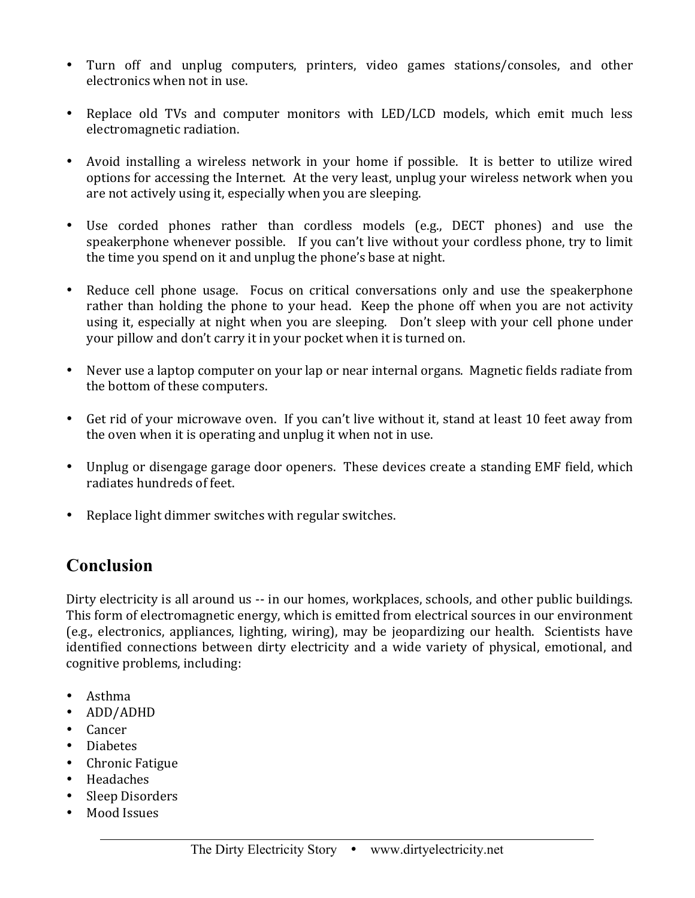- Turn off and unplug computers, printers, video games stations/consoles, and other electronics when not in use.
- Replace old TVs and computer monitors with LED/LCD models, which emit much less electromagnetic radiation.
- Avoid installing a wireless network in your home if possible. It is better to utilize wired options for accessing the Internet. At the very least, unplug your wireless network when you are not actively using it, especially when you are sleeping.
- Use corded phones rather than cordless models (e.g., DECT phones) and use the speakerphone whenever possible. If you can't live without your cordless phone, try to limit the time you spend on it and unplug the phone's base at night.
- Reduce cell phone usage. Focus on critical conversations only and use the speakerphone rather than holding the phone to vour head. Keep the phone off when vou are not activity using it, especially at night when you are sleeping. Don't sleep with your cell phone under your pillow and don't carry it in your pocket when it is turned on.
- Never use a laptop computer on your lap or near internal organs. Magnetic fields radiate from the bottom of these computers.
- Get rid of your microwave oven. If you can't live without it, stand at least 10 feet away from the oven when it is operating and unplug it when not in use.
- Unplug or disengage garage door openers. These devices create a standing EMF field, which radiates hundreds of feet.
- Replace light dimmer switches with regular switches.

## **Conclusion**

Dirty electricity is all around us -- in our homes, workplaces, schools, and other public buildings. This form of electromagnetic energy, which is emitted from electrical sources in our environment (e.g., electronics, appliances, lighting, wiring), may be jeopardizing our health. Scientists have identified connections between dirty electricity and a wide variety of physical, emotional, and cognitive problems, including:

- Asthma
- ADD/ADHD
- Cancer
- Diabetes
- Chronic Fatigue
- Headaches
- Sleep Disorders
- Mood Issues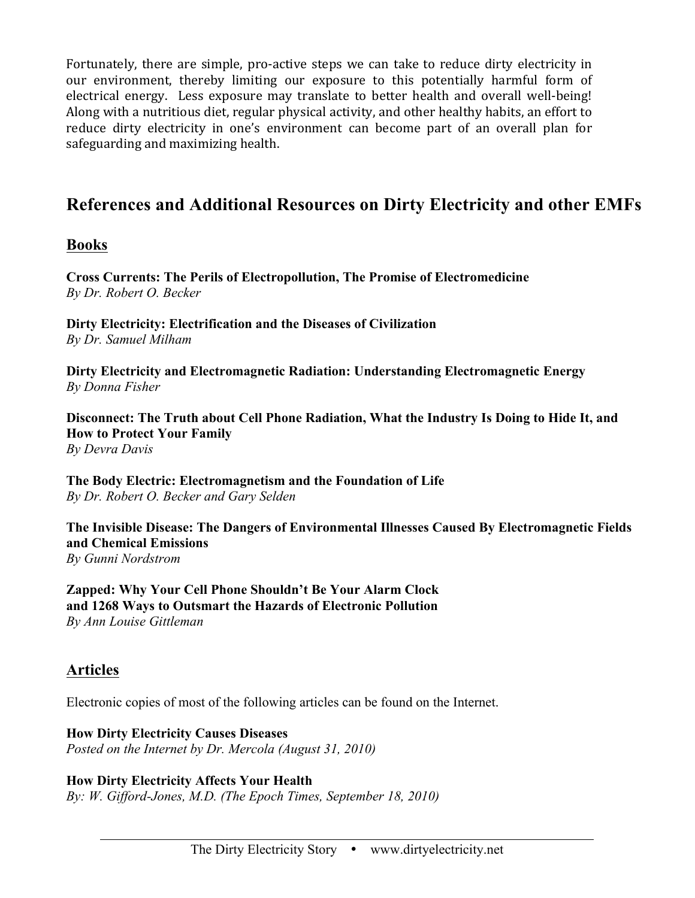Fortunately, there are simple, pro-active steps we can take to reduce dirty electricity in our environment, thereby limiting our exposure to this potentially harmful form of electrical energy. Less exposure may translate to better health and overall well-being! Along with a nutritious diet, regular physical activity, and other healthy habits, an effort to reduce dirty electricity in one's environment can become part of an overall plan for safeguarding and maximizing health.

# **References and Additional Resources on Dirty Electricity and other EMFs**

### **Books**

**Cross Currents: The Perils of Electropollution, The Promise of Electromedicine** *By Dr. Robert O. Becker* 

**Dirty Electricity: Electrification and the Diseases of Civilization** *By Dr. Samuel Milham* 

**Dirty Electricity and Electromagnetic Radiation: Understanding Electromagnetic Energy** *By Donna Fisher*

**Disconnect: The Truth about Cell Phone Radiation, What the Industry Is Doing to Hide It, and How to Protect Your Family** *By Devra Davis*

**The Body Electric: Electromagnetism and the Foundation of Life** *By Dr. Robert O. Becker and Gary Selden*

**The Invisible Disease: The Dangers of Environmental Illnesses Caused By Electromagnetic Fields and Chemical Emissions** *By Gunni Nordstrom*

**Zapped: Why Your Cell Phone Shouldn't Be Your Alarm Clock and 1268 Ways to Outsmart the Hazards of Electronic Pollution** *By Ann Louise Gittleman*

## **Articles**

Electronic copies of most of the following articles can be found on the Internet.

**How Dirty Electricity Causes Diseases** *Posted on the Internet by Dr. Mercola (August 31, 2010)*

**How Dirty Electricity Affects Your Health** *By: W. Gifford-Jones, M.D. (The Epoch Times, September 18, 2010)*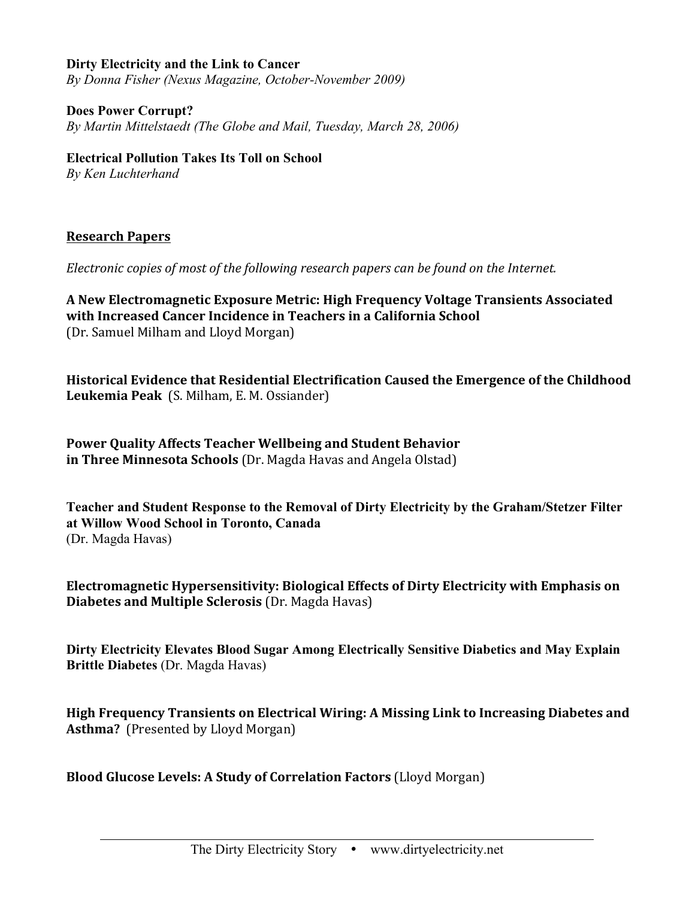#### **Dirty Electricity and the Link to Cancer**

*By Donna Fisher (Nexus Magazine, October-November 2009)*

#### **Does Power Corrupt?**

*By Martin Mittelstaedt (The Globe and Mail, Tuesday, March 28, 2006)*

#### **Electrical Pollution Takes Its Toll on School**

*By Ken Luchterhand*

#### **Research\$Papers**

*Electronic copies of most of the following research papers can be found on the Internet.* 

**A\$New\$Electromagnetic\$Exposure\$Metric:\$High\$Frequency Voltage\$Transients\$Associated\$ with Increased Cancer Incidence in Teachers in a California School** (Dr. Samuel Milham and Lloyd Morgan)

**Historical Evidence that Residential Electrification Caused the Emergence of the Childhood Leukemia Peak** (S. Milham, E. M. Ossiander)

Power Quality Affects Teacher Wellbeing and Student Behavior **in Three Minnesota Schools** (Dr. Magda Havas and Angela Olstad)

**Teacher and Student Response to the Removal of Dirty Electricity by the Graham/Stetzer Filter at Willow Wood School in Toronto, Canada**  (Dr. Magda Havas)

Electromagnetic Hypersensitivity: Biological Effects of Dirty Electricity with Emphasis on **Diabetes and Multiple Sclerosis** (Dr. Magda Havas)

**Dirty Electricity Elevates Blood Sugar Among Electrically Sensitive Diabetics and May Explain Brittle Diabetes** (Dr. Magda Havas)

**High Frequency Transients on Electrical Wiring: A Missing Link to Increasing Diabetes and Asthma?** (Presented by Lloyd Morgan)

#### **Blood Glucose Levels: A Study of Correlation Factors** (Lloyd Morgan)